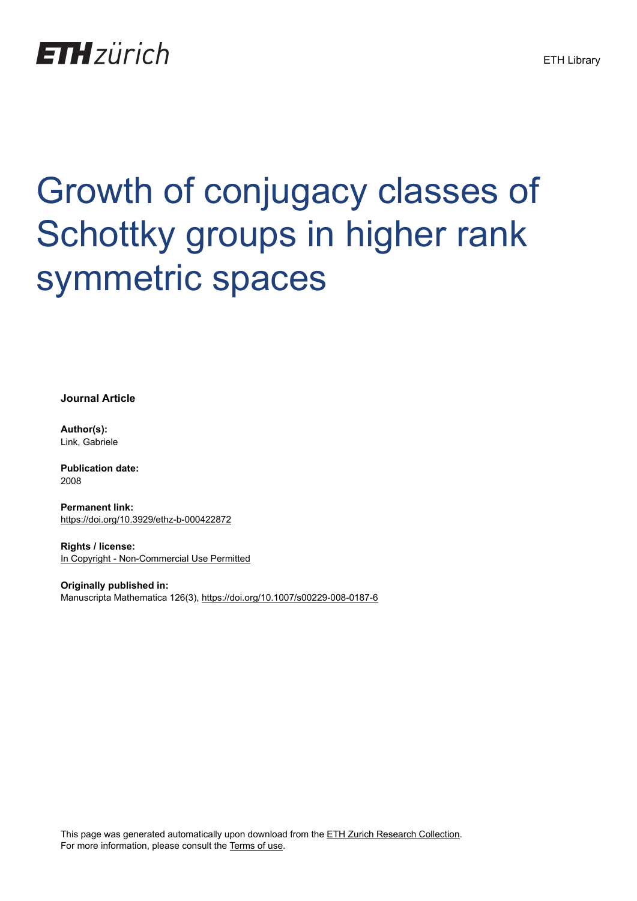## **ETH**zürich

# Growth of conjugacy classes of Schottky groups in higher rank symmetric spaces

**Journal Article**

**Author(s):** Link, Gabriele

**Publication date:** 2008

**Permanent link:** <https://doi.org/10.3929/ethz-b-000422872>

**Rights / license:** [In Copyright - Non-Commercial Use Permitted](http://rightsstatements.org/page/InC-NC/1.0/)

**Originally published in:** Manuscripta Mathematica 126(3), <https://doi.org/10.1007/s00229-008-0187-6>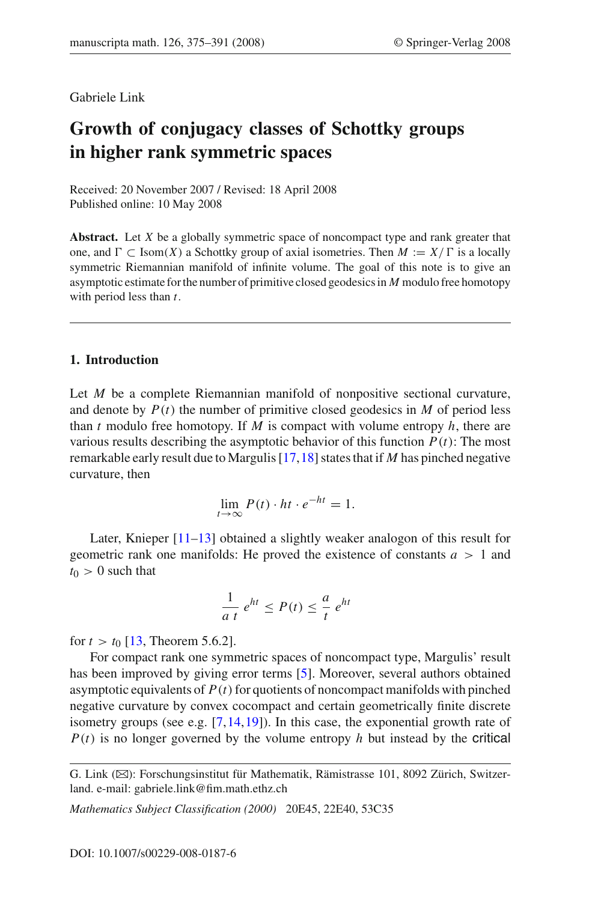#### Gabriele Link

### **Growth of conjugacy classes of Schottky groups in higher rank symmetric spaces**

Received: 20 November 2007 / Revised: 18 April 2008 Published online: 10 May 2008

**Abstract.** Let *X* be a globally symmetric space of noncompact type and rank greater that one, and  $\Gamma \subset \text{Isom}(X)$  a Schottky group of axial isometries. Then  $M := X/\Gamma$  is a locally symmetric Riemannian manifold of infinite volume. The goal of this note is to give an asymptotic estimate for the number of primitive closed geodesics in *M* modulo free homotopy with period less than *t*.

#### **1. Introduction**

Let *M* be a complete Riemannian manifold of nonpositive sectional curvature, and denote by  $P(t)$  the number of primitive closed geodesics in  $M$  of period less than  $t$  modulo free homotopy. If  $M$  is compact with volume entropy  $h$ , there are various results describing the asymptotic behavior of this function  $P(t)$ : The most remarkable early result due to Margulis [\[17](#page-17-0)[,18](#page-17-1)] states that if *M* has pinched negative curvature, then

$$
\lim_{t \to \infty} P(t) \cdot ht \cdot e^{-ht} = 1.
$$

Later, Knieper [\[11](#page-17-2)[–13](#page-17-3)] obtained a slightly weaker analogon of this result for geometric rank one manifolds: He proved the existence of constants  $a > 1$  and  $t_0 > 0$  such that

$$
\frac{1}{a t} e^{ht} \le P(t) \le \frac{a}{t} e^{ht}
$$

for  $t > t_0$  [\[13,](#page-17-3) Theorem 5.6.2].

For compact rank one symmetric spaces of noncompact type, Margulis' result has been improved by giving error terms [\[5](#page-17-4)]. Moreover, several authors obtained asymptotic equivalents of  $P(t)$  for quotients of noncompact manifolds with pinched negative curvature by convex cocompact and certain geometrically finite discrete isometry groups (see e.g.  $[7,14,19]$  $[7,14,19]$  $[7,14,19]$  $[7,14,19]$ ). In this case, the exponential growth rate of  $P(t)$  is no longer governed by the volume entropy  $h$  but instead by the critical

*Mathematics Subject Classification (2000)* 20E45, 22E40, 53C35

G. Link (B): Forschungsinstitut für Mathematik, Rämistrasse 101, 8092 Zürich, Switzerland. e-mail: gabriele.link@fim.math.ethz.ch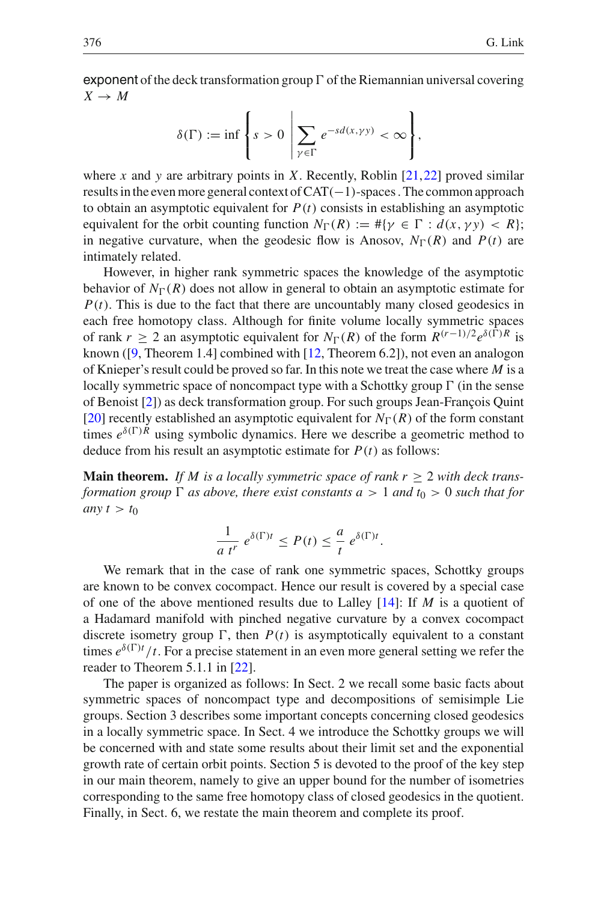exponent of the deck transformation group  $\Gamma$  of the Riemannian universal covering  $X \rightarrow M$ 

$$
\delta(\Gamma) := \inf \left\{ s > 0 \ \middle| \ \sum_{\gamma \in \Gamma} e^{-s d(x, \gamma \gamma)} < \infty \right\},
$$

where *x* and *y* are arbitrary points in *X*. Recently, Roblin  $[21,22]$  $[21,22]$  $[21,22]$  proved similar results in the even more general context of CAT(−1)-spaces . The common approach to obtain an asymptotic equivalent for  $P(t)$  consists in establishing an asymptotic equivalent for the orbit counting function  $N_{\Gamma}(R) := #\{\gamma \in \Gamma : d(x, \gamma \gamma) < R\};$ in negative curvature, when the geodesic flow is Anosov,  $N_{\Gamma}(R)$  and  $P(t)$  are intimately related.

However, in higher rank symmetric spaces the knowledge of the asymptotic behavior of  $N_{\Gamma}(R)$  does not allow in general to obtain an asymptotic estimate for  $P(t)$ . This is due to the fact that there are uncountably many closed geodesics in each free homotopy class. Although for finite volume locally symmetric spaces of rank  $r \ge 2$  an asymptotic equivalent for  $N_{\Gamma}(R)$  of the form  $R^{(r-1)/2}e^{\delta(\Gamma)R}$  is known ([\[9](#page-17-10), Theorem 1.4] combined with [\[12](#page-17-11), Theorem 6.2]), not even an analogon of Knieper's result could be proved so far. In this note we treat the case where *M* is a locally symmetric space of noncompact type with a Schottky group  $\Gamma$  (in the sense of Benoist [\[2\]](#page-17-12)) as deck transformation group. For such groups Jean-François Quint [\[20\]](#page-17-13) recently established an asymptotic equivalent for  $N_{\Gamma}(R)$  of the form constant times  $e^{\delta(\Gamma)R}$  using symbolic dynamics. Here we describe a geometric method to deduce from his result an asymptotic estimate for  $P(t)$  as follows:

**Main theorem.** If M is a locally symmetric space of rank  $r \geq 2$  with deck trans*formation group*  $\Gamma$  *as above, there exist constants a* > 1 *and*  $t_0$  > 0 *such that for any*  $t > t_0$ 

$$
\frac{1}{a t^r} e^{\delta(\Gamma)t} \le P(t) \le \frac{a}{t} e^{\delta(\Gamma)t}.
$$

We remark that in the case of rank one symmetric spaces, Schottky groups are known to be convex cocompact. Hence our result is covered by a special case of one of the above mentioned results due to Lalley [\[14\]](#page-17-6): If *M* is a quotient of a Hadamard manifold with pinched negative curvature by a convex cocompact discrete isometry group  $\Gamma$ , then  $P(t)$  is asymptotically equivalent to a constant times  $e^{\delta(\Gamma)t}/t$ . For a precise statement in an even more general setting we refer the reader to Theorem 5.1.1 in [\[22](#page-17-9)].

The paper is organized as follows: In Sect. 2 we recall some basic facts about symmetric spaces of noncompact type and decompositions of semisimple Lie groups. Section 3 describes some important concepts concerning closed geodesics in a locally symmetric space. In Sect. 4 we introduce the Schottky groups we will be concerned with and state some results about their limit set and the exponential growth rate of certain orbit points. Section 5 is devoted to the proof of the key step in our main theorem, namely to give an upper bound for the number of isometries corresponding to the same free homotopy class of closed geodesics in the quotient. Finally, in Sect. 6, we restate the main theorem and complete its proof.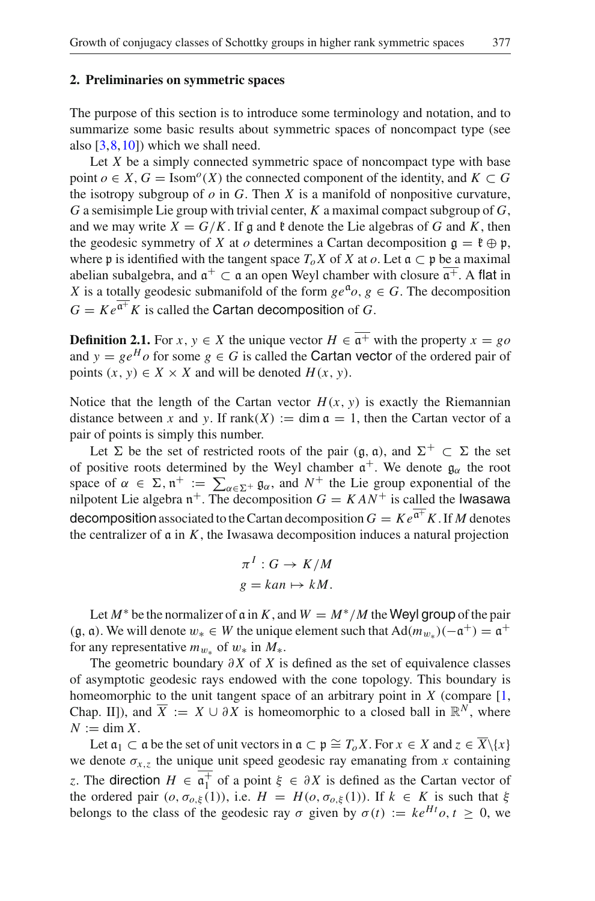#### **2. Preliminaries on symmetric spaces**

The purpose of this section is to introduce some terminology and notation, and to summarize some basic results about symmetric spaces of noncompact type (see also  $[3,8,10]$  $[3,8,10]$  $[3,8,10]$  $[3,8,10]$ ) which we shall need.

Let *X* be a simply connected symmetric space of noncompact type with base point  $o \in X$ ,  $G = \text{Isom}^o(X)$  the connected component of the identity, and  $K \subset G$ the isotropy subgroup of  $\varphi$  in  $G$ . Then  $X$  is a manifold of nonpositive curvature, *G* a semisimple Lie group with trivial center, *K* a maximal compact subgroup of *G*, and we may write  $X = G/K$ . If g and  $\xi$  denote the Lie algebras of G and K, then the geodesic symmetry of *X* at *o* determines a Cartan decomposition  $\mathfrak{g} = \mathfrak{k} \oplus \mathfrak{p}$ , where p is identified with the tangent space  $T_oX$  of X at  $o$ . Let  $a \subset p$  be a maximal abelian subalgebra, and  $\mathfrak{a}^+ \subset \mathfrak{a}$  an open Weyl chamber with closure  $\overline{\mathfrak{a}^+}$ . A flat in *X* is a totally geodesic submanifold of the form  $ge^{a}o, g \in G$ . The decomposition  $G = Ke^{\overline{a^+}} K$  is called the Cartan decomposition of *G*.

<span id="page-3-0"></span>**Definition 2.1.** For *x*,  $y \in X$  the unique vector  $H \in \overline{a^+}$  with the property  $x = go$ and  $y = ge^{H}$  *o* for some  $g \in G$  is called the **Cartan vector** of the ordered pair of points  $(x, y) \in X \times X$  and will be denoted  $H(x, y)$ .

Notice that the length of the Cartan vector  $H(x, y)$  is exactly the Riemannian distance between *x* and *y*. If  $rank(X) := \dim \mathfrak{a} = 1$ , then the Cartan vector of a pair of points is simply this number.

Let  $\Sigma$  be the set of restricted roots of the pair (g, a), and  $\Sigma^+ \subset \Sigma$  the set of positive roots determined by the Weyl chamber  $\mathfrak{a}^+$ . We denote  $\mathfrak{g}_{\alpha}$  the root space of  $\alpha \in \Sigma$ ,  $n^+ := \sum_{\alpha \in \Sigma^+} \mathfrak{g}_{\alpha}$ , and  $N^+$  the Lie group exponential of the nulnotent Lie algebra  $n^+$ . The decomposition  $G = KAN^+$  is called the lwassews nilpotent Lie algebra  $n^+$ . The decomposition *G* = *K AN*<sup>+</sup> is called the Iwasawa decomposition associated to the Cartan decomposition  $G = Ke^{\overline{a^+}}K$ . If M denotes the centralizer of  $\alpha$  in  $K$ , the Iwasawa decomposition induces a natural projection

$$
\pi^I: G \to K/M
$$
  

$$
g = kan \mapsto kM.
$$

Let  $M^*$  be the normalizer of  $\alpha$  in  $K$ , and  $W = M^*/M$  the Weyl group of the pair (g,  $\alpha$ ). We will denote  $w_* \in W$  the unique element such that  $Ad(m_{w_*})$  $(-\alpha^+) = \alpha^+$ for any representative  $m_{w*}$  of  $w_*$  in  $M_*$ .

The geometric boundary  $\partial X$  of *X* is defined as the set of equivalence classes of asymptotic geodesic rays endowed with the cone topology. This boundary is homeomorphic to the unit tangent space of an arbitrary point in  $X$  (compare  $[1,$ Chap. II), and  $\overline{X} := X \cup \partial X$  is homeomorphic to a closed ball in  $\mathbb{R}^N$ , where  $N := \dim X$ .

Let  $a_1 \subset a$  be the set of unit vectors in  $a \subset p \cong T_oX$ . For  $x \in X$  and  $z \in \overline{X} \setminus \{x\}$ we denote  $\sigma_{x,z}$  the unique unit speed geodesic ray emanating from *x* containing *z*. The direction  $H \in \overline{a_1^+}$  of a point  $\xi \in \partial X$  is defined as the Cartan vector of the ordered pair  $(a, \sigma_{\xi}(1))$  i.e.  $H = H(a, \sigma_{\xi}(1))$  if  $k \in K$  is such that  $\xi$ the ordered pair  $(o, \sigma_{o,\xi}(1))$ , i.e.  $H = H(o, \sigma_{o,\xi}(1))$ . If  $k \in K$  is such that  $\xi$ belongs to the class of the geodesic ray  $\sigma$  given by  $\sigma(t) := ke^{Ht}\sigma, t > 0$ , we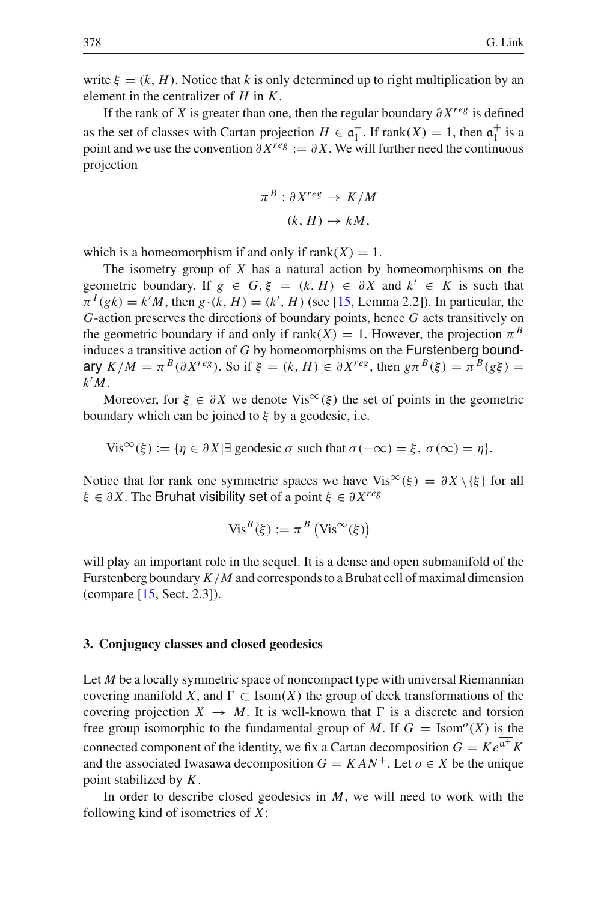write  $\xi = (k, H)$ . Notice that *k* is only determined up to right multiplication by an element in the centralizer of *H* in *K*.

If the rank of *X* is greater than one, then the regular boundary ∂ *Xreg* is defined as the set of classes with Cartan projection  $H \in \mathfrak{a}_1^+$ . If  $rank(X) = 1$ , then  $\mathfrak{a}_1^+$  is a noint and we use the convention  $\partial X^{reg} := \partial X$ . We will further need the continuous point and we use the convention  $\partial X^{reg} := \partial X$ . We will further need the continuous projection

$$
\pi^B : \partial X^{reg} \to K/M
$$

$$
(k, H) \mapsto kM,
$$

which is a homeomorphism if and only if  $rank(X) = 1$ .

The isometry group of *X* has a natural action by homeomorphisms on the geometric boundary. If  $g \in G, \xi = (k, H) \in \partial X$  and  $k' \in K$  is such that  $\pi^{I}(gk) = k'M$ , then  $g \cdot (k, H) = (k', H)$  (see [\[15](#page-17-18), Lemma 2.2]). In particular, the *G*-action preserves the directions of boundary points, hence *G* acts transitively on the geometric boundary if and only if  $rank(X) = 1$ . However, the projection  $\pi^{B}$ induces a transitive action of *G* by homeomorphisms on the Furstenberg boundary  $K/M = \pi^B(\partial X^{reg})$ . So if  $\xi = (k, H) \in \partial X^{reg}$ , then  $g\pi^B(\xi) = \pi^B(g\xi)$ *k M*.

Moreover, for  $\xi \in \partial X$  we denote Vis<sup>∞</sup>( $\xi$ ) the set of points in the geometric boundary which can be joined to  $\xi$  by a geodesic, i.e.

Vis<sup>∞</sup>(ξ) := { $\eta \in \partial X$  | ∃ geodesic  $\sigma$  such that  $\sigma(-\infty) = \xi$ ,  $\sigma(\infty) = \eta$  }.

Notice that for rank one symmetric spaces we have  $Vis^{\infty}(\xi) = \partial X \setminus {\xi}$  for all ξ ∈ ∂ *X*. The Bruhat visibility set of a point ξ ∈ ∂ *Xreg*

$$
Vis^{B}(\xi) := \pi^{B} (Vis^{\infty}(\xi))
$$

will play an important role in the sequel. It is a dense and open submanifold of the Furstenberg boundary *K*/*M* and corresponds to a Bruhat cell of maximal dimension (compare [\[15,](#page-17-18) Sect. 2.3]).

#### <span id="page-4-0"></span>**3. Conjugacy classes and closed geodesics**

Let *M* be a locally symmetric space of noncompact type with universal Riemannian covering manifold *X*, and  $\Gamma \subset \text{Isom}(X)$  the group of deck transformations of the covering projection  $X \to M$ . It is well-known that  $\Gamma$  is a discrete and torsion free group isomorphic to the fundamental group of *M*. If  $G = \text{Isom}^o(X)$  is the connected component of the identity, we fix a Cartan decomposition  $G = Ke^{\overline{\mathfrak{a}^+}}K$ and the associated Iwasawa decomposition  $G = KAN^+$ . Let  $o \in X$  be the unique point stabilized by *K*.

In order to describe closed geodesics in *M*, we will need to work with the following kind of isometries of *X*: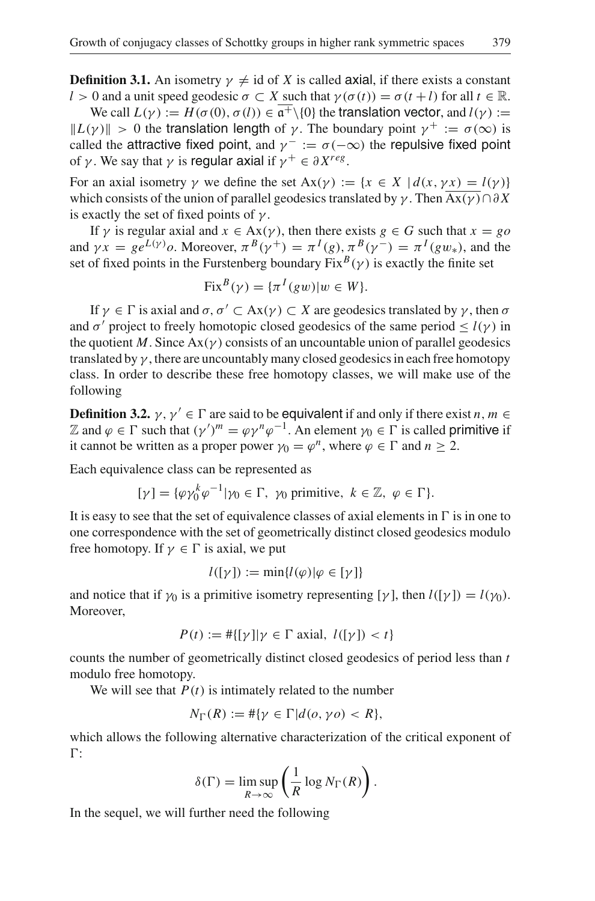**Definition 3.1.** An isometry  $\gamma \neq id$  of *X* is called axial, if there exists a constant *l* > 0 and a unit speed geodesic  $\sigma \subset X$  such that  $\gamma(\sigma(t)) = \sigma(t+l)$  for all  $t \in \mathbb{R}$ .

We call  $L(\gamma) := H(\sigma(0), \sigma(l)) \in \overline{\mathfrak{a}^+ \setminus \{0\}}$  the translation vector, and  $l(\gamma) :=$  $||L(\gamma)|| > 0$  the translation length of  $\gamma$ . The boundary point  $\gamma^+ := \sigma(\infty)$  is called the attractive fixed point, and  $\gamma^- := \sigma(-\infty)$  the repulsive fixed point of *γ*. We say that *γ* is regular axial if  $\gamma^+ \in \partial X^{reg}$ .

For an axial isometry  $\gamma$  we define the set  $Ax(\gamma) := \{x \in X \mid d(x, \gamma x) = l(\gamma)\}\$ which consists of the union of parallel geodesics translated by  $\gamma$ . Then Ax( $\gamma$ )∩∂X is exactly the set of fixed points of  $\gamma$ .

If  $\gamma$  is regular axial and  $x \in Ax(\gamma)$ , then there exists  $g \in G$  such that  $x = go$ and  $\gamma x = g e^{L(\gamma)}$ *o*. Moreover,  $\pi^B(\gamma^+) = \pi^I(g)$ ,  $\pi^B(\gamma^-) = \pi^I(gw_*)$ , and the set of fixed points in the Furstenberg boundary  $Fix^B(\gamma)$  is exactly the finite set

$$
Fix^{B}(\gamma) = \{\pi^{I}(gw)|w \in W\}.
$$

If  $\gamma \in \Gamma$  is axial and  $\sigma, \sigma' \subset Ax(\gamma) \subset X$  are geodesics translated by  $\gamma$ , then  $\sigma$ and  $\sigma'$  project to freely homotopic closed geodesics of the same period  $\leq l(\gamma)$  in the quotient *M*. Since  $\text{Ax}(\gamma)$  consists of an uncountable union of parallel geodesics translated by  $\gamma$ , there are uncountably many closed geodesics in each free homotopy class. In order to describe these free homotopy classes, we will make use of the following

**Definition 3.2.**  $\gamma$ ,  $\gamma' \in \Gamma$  are said to be **equivalent** if and only if there exist *n*, *m* ∈ Z and  $\varphi \in \Gamma$  such that  $(\gamma')^m = \varphi \gamma^n \varphi^{-1}$ . An element  $\gamma_0 \in \Gamma$  is called **primitive** if it cannot be written as a proper power  $\gamma_0 = \varphi^n$ , where  $\varphi \in \Gamma$  and  $n \ge 2$ .

Each equivalence class can be represented as

$$
[\gamma] = {\varphi \gamma_0^k \varphi^{-1}} |\gamma_0 \in \Gamma, \ \gamma_0 \text{ primitive}, \ k \in \mathbb{Z}, \ \varphi \in \Gamma \}.
$$

It is easy to see that the set of equivalence classes of axial elements in  $\Gamma$  is in one to one correspondence with the set of geometrically distinct closed geodesics modulo free homotopy. If  $\gamma \in \Gamma$  is axial, we put

$$
l([\gamma]):=\min\{l(\varphi)|\varphi\in[\gamma]\}
$$

and notice that if  $\gamma_0$  is a primitive isometry representing [ $\gamma$ ], then  $l([\gamma]) = l(\gamma_0)$ . Moreover,

$$
P(t) := #\{[\gamma]|\gamma \in \Gamma \text{ axial}, l([\gamma]) < t\}
$$

counts the number of geometrically distinct closed geodesics of period less than *t* modulo free homotopy.

We will see that  $P(t)$  is intimately related to the number

$$
N_{\Gamma}(R) := \#\{\gamma \in \Gamma | d(o, \gamma o) < R\},\
$$

which allows the following alternative characterization of the critical exponent of  $\Gamma$ :

<span id="page-5-0"></span>
$$
\delta(\Gamma) = \limsup_{R \to \infty} \left( \frac{1}{R} \log N_{\Gamma}(R) \right).
$$

In the sequel, we will further need the following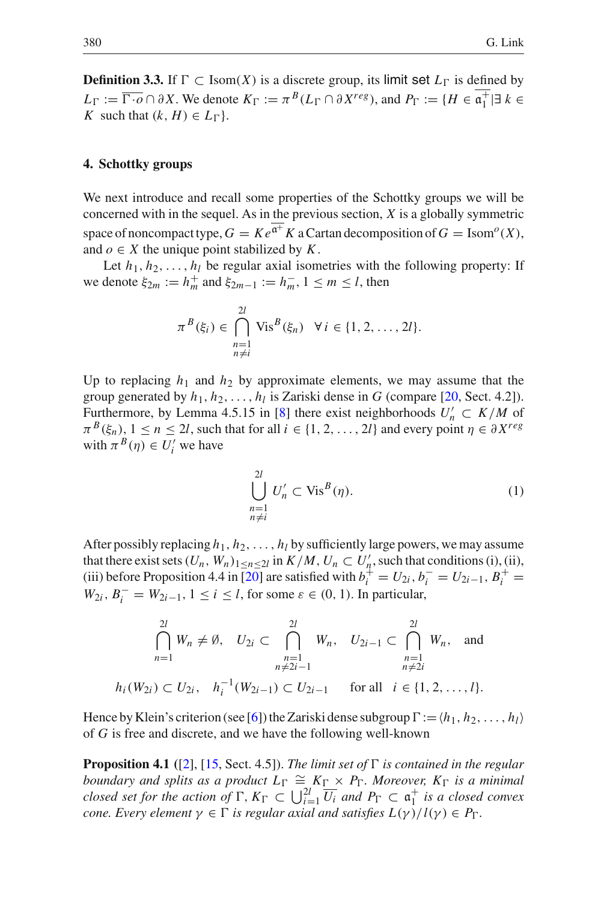**Definition 3.3.** If  $\Gamma$  ⊂ Isom(*X*) is a discrete group, its limit set  $L_{\Gamma}$  is defined by  $L_{\Gamma} := \overline{\Gamma \cdot o} \cap \partial X$ . We denote  $K_{\Gamma} := \pi^B(L_{\Gamma} \cap \partial X^{reg})$ , and  $P_{\Gamma} := \{ H \in \mathfrak{a}_1^+ | \exists k \in K \}$  such that  $(k \mid H) \in L_{\Gamma}$ *K* such that  $(k, H) \in L_{\Gamma}$ .

#### <span id="page-6-1"></span>**4. Schottky groups**

We next introduce and recall some properties of the Schottky groups we will be concerned with in the sequel. As in the previous section, *X* is a globally symmetric space of noncompact type,  $G = Ke^{\overline{a^+}} K$  a Cartan decomposition of  $G = Isom^o(X)$ , and  $o \in X$  the unique point stabilized by *K*.

Let  $h_1, h_2, \ldots, h_l$  be regular axial isometries with the following property: If we denote  $\xi_{2m} := h_m^+$  and  $\xi_{2m-1} := h_m^-, 1 \le m \le l$ , then

$$
\pi^{B}(\xi_{i}) \in \bigcap_{\substack{n=1 \ n \neq i}}^{2l} \text{Vis}^{B}(\xi_{n}) \quad \forall i \in \{1, 2, \dots, 2l\}.
$$

Up to replacing  $h_1$  and  $h_2$  by approximate elements, we may assume that the group generated by  $h_1, h_2, \ldots, h_l$  is Zariski dense in *G* (compare [\[20,](#page-17-13) Sect. 4.2]). Furthermore, by Lemma 4.5.15 in [\[8](#page-17-15)] there exist neighborhoods  $U'_n \subset K/M$  of  $\pi^{B}(\xi_{n})$ ,  $1 \leq n \leq 2l$ , such that for all  $i \in \{1, 2, ..., 2l\}$  and every point  $\eta \in \partial X^{reg}$ with  $\pi^{B}(\eta) \in U'_{i}$  we have

$$
\bigcup_{\substack{n=1\\n\neq i}}^{2l} U'_n \subset \text{Vis}^B(\eta). \tag{1}
$$

<span id="page-6-2"></span>After possibly replacing  $h_1, h_2, \ldots, h_l$  by sufficiently large powers, we may assume that there exist sets  $(U_n, W_n)_{1 \le n \le 2l}$  in  $K/M$ ,  $U_n \subset U'_n$ , such that conditions (i), (ii), (iii) before Proposition 4.4 in [\[20](#page-17-13)] are satisfied with  $b_i^{\dagger} = U_{2i}, b_i^{-} = U_{2i-1}, B_i^{+} =$  $W_{2i}$ ,  $B_i^- = W_{2i-1}$ ,  $1 \le i \le l$ , for some  $\varepsilon \in (0, 1)$ . In particular,

$$
\bigcap_{n=1}^{2l} W_n \neq \emptyset, \quad U_{2i} \subset \bigcap_{\substack{n=1 \ n \neq 2i-1}}^{2l} W_n, \quad U_{2i-1} \subset \bigcap_{\substack{n=1 \ n \neq 2i}}^{2l} W_n, \quad \text{and}
$$
  

$$
h_i(W_{2i}) \subset U_{2i}, \quad h_i^{-1}(W_{2i-1}) \subset U_{2i-1} \quad \text{for all} \quad i \in \{1, 2, \dots, l\}.
$$

<span id="page-6-0"></span>Hence by Klein's criterion (see [\[6\]](#page-17-19)) the Zariski dense subgroup  $\Gamma := \langle h_1, h_2, \ldots, h_l \rangle$ of *G* is free and discrete, and we have the following well-known

**Proposition 4.1** ([\[2](#page-17-12)], [\[15,](#page-17-18) Sect. 4.5]). *The limit set of*  $\Gamma$  *is contained in the regular boundary and splits as a product*  $L_{\Gamma} \cong K_{\Gamma} \times P_{\Gamma}$ *. Moreover,*  $K_{\Gamma}$  *is a minimal closed set for the action of*  $\Gamma$ ,  $K_{\Gamma} \subset \bigcup_{i=1}^{2l} \overline{U_i}$  and  $P_{\Gamma} \subset \mathfrak{a}_1^+$  *is a closed convex*<br>*cone*, Every element  $v \in \Gamma$  *is requien axial and satisfies*  $I(v)/I(v) \in P_{\Gamma}$ *cone. Every element*  $\gamma \in \Gamma$  *is regular axial and satisfies*  $L(\gamma)/l(\gamma) \in P_{\Gamma}$ *.*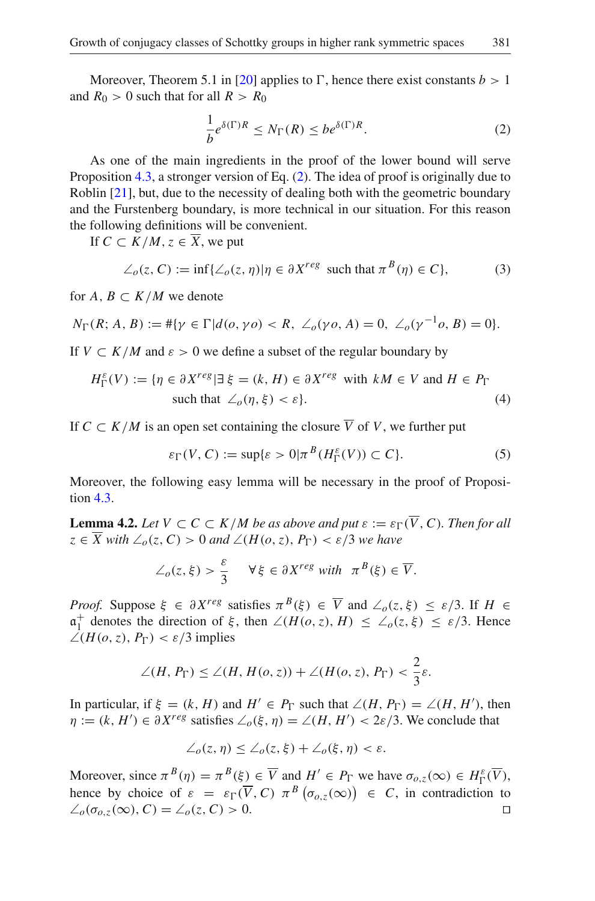Moreover, Theorem 5.1 in [\[20\]](#page-17-13) applies to  $\Gamma$ , hence there exist constants  $b > 1$ and  $R_0 > 0$  such that for all  $R > R_0$ 

$$
\frac{1}{b}e^{\delta(\Gamma)R} \le N_{\Gamma}(R) \le be^{\delta(\Gamma)R}.
$$
\n(2)

<span id="page-7-1"></span>As one of the main ingredients in the proof of the lower bound will serve Proposition [4.3,](#page-7-0) a stronger version of Eq. [\(2\)](#page-7-1). The idea of proof is originally due to Roblin [\[21](#page-17-8)], but, due to the necessity of dealing both with the geometric boundary and the Furstenberg boundary, is more technical in our situation. For this reason the following definitions will be convenient.

If  $C \subset K/M$ ,  $z \in \overline{X}$ , we put

$$
\angle_o(z, C) := \inf \{ \angle_o(z, \eta) | \eta \in \partial X^{reg} \text{ such that } \pi^B(\eta) \in C \},\tag{3}
$$

<span id="page-7-2"></span>for  $A, B \subset K/M$  we denote

$$
N_{\Gamma}(R; A, B) := #\{\gamma \in \Gamma | d(o, \gamma o) < R, \ \angle_o(\gamma o, A) = 0, \ \angle_o(\gamma^{-1} o, B) = 0\}.
$$

<span id="page-7-4"></span>If  $V \subset K/M$  and  $\varepsilon > 0$  we define a subset of the regular boundary by

$$
H_{\Gamma}^{\varepsilon}(V) := \{ \eta \in \partial X^{reg} | \exists \xi = (k, H) \in \partial X^{reg} \text{ with } kM \in V \text{ and } H \in P_{\Gamma} \text{ such that } \angle_{o}(\eta, \xi) < \varepsilon \}. \tag{4}
$$

If  $C \subset K/M$  is an open set containing the closure  $\overline{V}$  of *V*, we further put

$$
\varepsilon_{\Gamma}(V, C) := \sup \{ \varepsilon > 0 | \pi^{B}(H_{\Gamma}^{\varepsilon}(V)) \subset C \}. \tag{5}
$$

<span id="page-7-3"></span>Moreover, the following easy lemma will be necessary in the proof of Proposition [4.3.](#page-7-0)

**Lemma 4.2.** *Let*  $V \subset C \subset K/M$  *be as above and put*  $\varepsilon := \varepsilon_{\Gamma}(\overline{V}, C)$ *. Then for all*  $z \in \overline{X}$  with  $\angle_o(z, C) > 0$  and  $\angle(H(o, z), P_{\Gamma}) < \varepsilon/3$  we have

$$
\angle_o(z,\xi) > \frac{\varepsilon}{3} \quad \forall \xi \in \partial X^{reg} \text{ with } \pi^B(\xi) \in \overline{V}.
$$

*Proof.* Suppose  $\xi \in \partial X^{reg}$  satisfies  $\pi^{B}(\xi) \in \overline{V}$  and  $\angle_{\rho}(z,\xi) \leq \varepsilon/3$ . If  $H \in$  $a_1^+$  denotes the direction of  $\xi$ , then  $\angle(H(o, z), H) \leq \angle_o(z, \xi) \leq \varepsilon/3$ . Hence  $\angle(H(o, z), P_D) \leq \varepsilon/3$  implies ∠(*H*(*o*,*z*), *P*<sub>Γ</sub>) <  $ε/3$  implies

$$
\angle(H, P_{\Gamma}) \le \angle(H, H(o, z)) + \angle(H(o, z), P_{\Gamma}) < \frac{2}{3}\varepsilon.
$$

In particular, if  $\xi = (k, H)$  and  $H' \in P_{\Gamma}$  such that  $\angle(H, P_{\Gamma}) = \angle(H, H')$ , then  $\eta := (k, H') \in \partial X^{reg}$  satisfies  $\angle_{\rho}(\xi, \eta) = \angle(H, H') < 2\varepsilon/3$ . We conclude that

$$
\angle_o(z,\eta) \leq \angle_o(z,\xi) + \angle_o(\xi,\eta) < \varepsilon.
$$

<span id="page-7-0"></span>Moreover, since  $\pi^{B}(\eta) = \pi^{B}(\xi) \in \overline{V}$  and  $H' \in P_{\Gamma}$  we have  $\sigma_{o,z}(\infty) \in H_{\Gamma}^{\varepsilon}(\overline{V})$ , hence by choice of  $\varepsilon = \varepsilon_{\Gamma}(\overline{V}, C) \pi^{B}(\sigma_{o,z}(\infty)) \in C$ , in contradiction to  $\angle$ <sub>*o*</sub>(σ<sub>*o*,*z*</sub>(∞), *C*) = ∠*<sub><i>o*</sub>(*z*, *C*) > 0.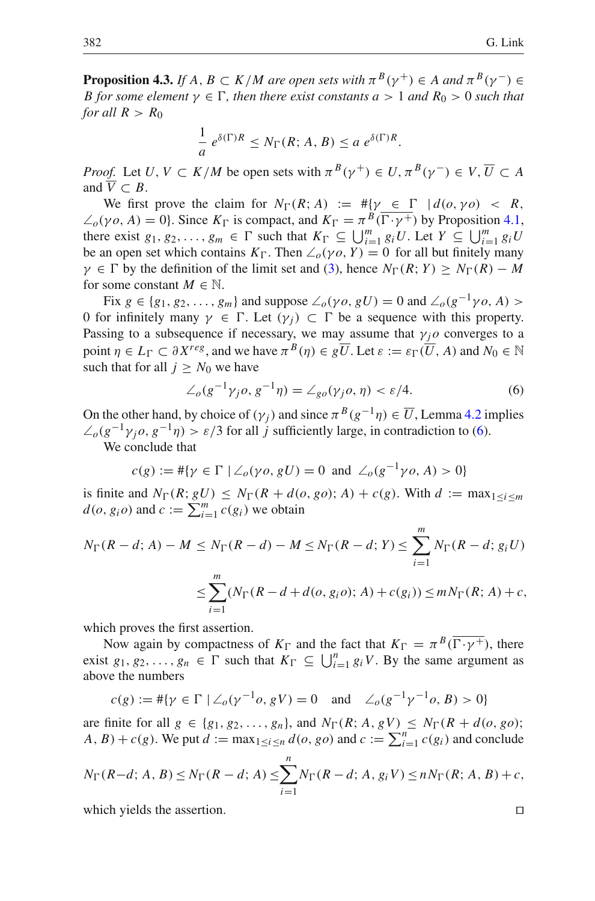**Proposition 4.3.** *If A, B*  $\subset$  *K*/*M* are open sets with  $\pi^{B}(\gamma^{+}) \in A$  and  $\pi^{B}(\gamma^{-}) \in$ *B* for some element  $\gamma \in \Gamma$ , then there exist constants  $a > 1$  and  $R_0 > 0$  such that *for all*  $R > R_0$ 

$$
\frac{1}{a} e^{\delta(\Gamma)R} \le N_{\Gamma}(R; A, B) \le a e^{\delta(\Gamma)R}.
$$

*Proof.* Let *U*,  $V \subset K/M$  be open sets with  $\pi^{B}(\gamma^{+}) \in U$ ,  $\pi^{B}(\gamma^{-}) \in V$ ,  $\overline{U} \subset A$ and  $\overline{V} \subset B$ .

We first prove the claim for  $N_{\Gamma}(R; A) := #\{\gamma \in \Gamma \mid d(o, \gamma o) < R,$  $\angle_o(\gamma o, A) = 0$ . Since  $K_{\Gamma}$  is compact, and  $K_{\Gamma} = \pi^B(\overline{\Gamma \cdot \gamma^+})$  by Proposition [4.1,](#page-6-0) there exist  $g_1, g_2, \ldots, g_m \in \Gamma$  such that  $K_{\Gamma} \subseteq \bigcup_{i=1}^m g_i U$ . Let  $Y \subseteq \bigcup_{i=1}^m g_i U$ be an open set which contains  $K_{\Gamma}$ . Then  $\angle_o(\gamma o, Y) = 0$  for all but finitely many  $\gamma \in \Gamma$  by the definition of the limit set and [\(3\)](#page-7-2), hence  $N_{\Gamma}(R; Y) \geq N_{\Gamma}(R) - M$ for some constant  $M \in \mathbb{N}$ .

Fix  $g \in \{g_1, g_2, \ldots, g_m\}$  and suppose  $\angle_o(\gamma o, gU) = 0$  and  $\angle_o(g^{-1}\gamma o, A)$ 0 for infinitely many *γ* ∈ Γ. Let  $(γ<sub>j</sub>)$  ⊂ Γ be a sequence with this property. Passing to a subsequence if necessary, we may assume that  $\gamma_j$ <sup>o</sup> converges to a point  $\eta \in L_{\Gamma} \subset \partial X^{reg}$ , and we have  $\pi^{B}(\eta) \in g\overline{U}$ . Let  $\varepsilon := \varepsilon_{\Gamma}(\overline{U}, A)$  and  $N_0 \in \mathbb{N}$ such that for all  $j \geq N_0$  we have

$$
\angle_o(g^{-1}\gamma_j o, g^{-1}\eta) = \angle_{g_0(\gamma_j o, \eta)} < \varepsilon/4. \tag{6}
$$

<span id="page-8-0"></span>On the other hand, by choice of  $(\gamma_i)$  and since  $\pi^B(g^{-1}\eta) \in \overline{U}$ , Lemma [4.2](#page-7-3) implies  $\angle_o(g^{-1}\gamma_i o, g^{-1}\eta) > \varepsilon/3$  for all *j* sufficiently large, in contradiction to [\(6\)](#page-8-0). We conclude that

$$
c(g) := #\{\gamma \in \Gamma \mid \angle_o(\gamma o, gU) = 0 \text{ and } \angle_o(g^{-1}\gamma o, A) > 0\}
$$

is finite and  $N_{\Gamma}(R; gU) \leq N_{\Gamma}(R + d(o, go); A) + c(g)$ . With  $d := \max_{1 \leq i \leq m}$  $d(o, g_i o)$  and  $c := \sum_{i=1}^{m} c(g_i)$  we obtain

$$
N_{\Gamma}(R - d; A) - M \le N_{\Gamma}(R - d) - M \le N_{\Gamma}(R - d; Y) \le \sum_{i=1}^{m} N_{\Gamma}(R - d; g_{i}U)
$$
  

$$
\le \sum_{i=1}^{m} (N_{\Gamma}(R - d + d(o, g_{i}o); A) + c(g_{i})) \le m N_{\Gamma}(R; A) + c,
$$

which proves the first assertion.

Now again by compactness of  $K_{\Gamma}$  and the fact that  $K_{\Gamma} = \pi^{B}(\overline{\Gamma \cdot \gamma^{+}})$ , there exist  $g_1, g_2, \ldots, g_n \in \Gamma$  such that  $K_{\Gamma} \subseteq \bigcup_{i=1}^n g_i V$ . By the same argument as above the numbers

$$
c(g) := #\{\gamma \in \Gamma \mid \angle_o(\gamma^{-1}o, gV) = 0 \text{ and } \angle_o(g^{-1}\gamma^{-1}o, B) > 0\}
$$

are finite for all  $g \in \{g_1, g_2, \ldots, g_n\}$ , and  $N_{\Gamma}(R; A, gV) \leq N_{\Gamma}(R + d(o, go))$ ; *A*, *B*) + *c*(*g*). We put *d* := max<sub>1≤*i*≤*n*</sub> *d*(*o*, *go*) and *c* :=  $\sum_{i=1}^{n} c(g_i)$  and conclude

$$
N_{\Gamma}(R-d; A, B) \le N_{\Gamma}(R-d; A) \le \sum_{i=1}^{n} N_{\Gamma}(R-d; A, g_{i}V) \le nN_{\Gamma}(R; A, B) + c,
$$

which yields the assertion.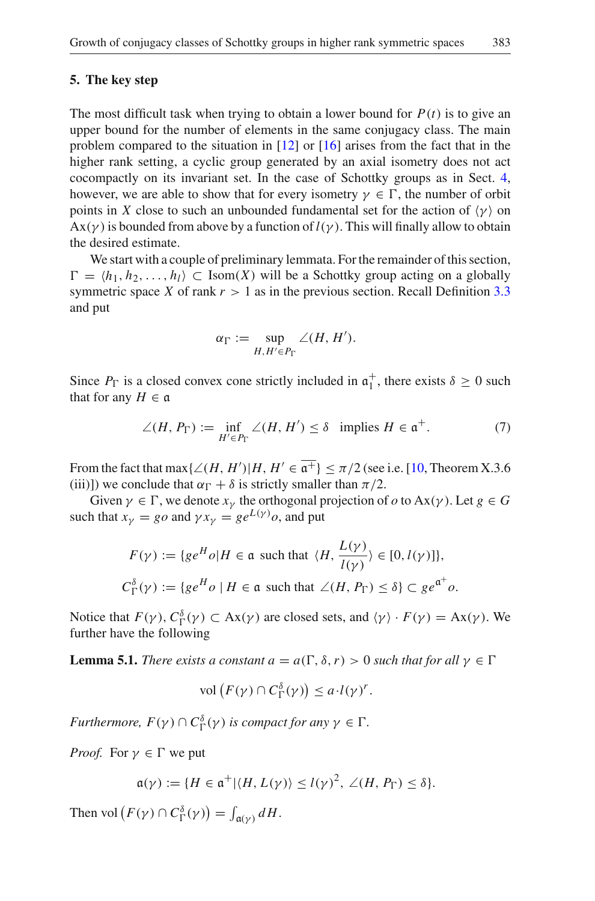#### <span id="page-9-1"></span>**5. The key step**

The most difficult task when trying to obtain a lower bound for  $P(t)$  is to give an upper bound for the number of elements in the same conjugacy class. The main problem compared to the situation in [\[12\]](#page-17-11) or [\[16\]](#page-17-20) arises from the fact that in the higher rank setting, a cyclic group generated by an axial isometry does not act cocompactly on its invariant set. In the case of Schottky groups as in Sect. [4,](#page-6-1) however, we are able to show that for every isometry  $\gamma \in \Gamma$ , the number of orbit points in *X* close to such an unbounded fundamental set for the action of  $\langle \gamma \rangle$  on  $Ax(y)$  is bounded from above by a function of  $l(y)$ . This will finally allow to obtain the desired estimate.

We start with a couple of preliminary lemmata. For the remainder of this section,  $\Gamma = \langle h_1, h_2, \ldots, h_l \rangle \subset \text{Isom}(X)$  will be a Schottky group acting on a globally symmetric space *X* of rank  $r > 1$  as in the previous section. Recall Definition [3.3](#page-5-0) and put

$$
\alpha_{\Gamma} := \sup_{H, H' \in P_{\Gamma}} \angle(H, H').
$$

Since  $P_{\Gamma}$  is a closed convex cone strictly included in  $\mathfrak{a}_{1}^{+}$ , there exists  $\delta \geq 0$  such that for any  $H \in \mathfrak{a}$ that for any  $H \in \mathfrak{a}$ 

$$
\angle(H, P_{\Gamma}) := \inf_{H' \in P_{\Gamma}} \angle(H, H') \le \delta \quad \text{implies } H \in \mathfrak{a}^+. \tag{7}
$$

From the fact that max $\{\angle (H, H') | H, H' \in \overline{\mathfrak{a}^+}\} \leq \pi/2$  (see i.e. [\[10](#page-17-16), Theorem X.3.6 (iii))) we conclude that  $\alpha_{\rm E} + \delta$  is strictly smaller than  $\pi/2$ (iii)]) we conclude that  $\alpha_{\Gamma} + \delta$  is strictly smaller than  $\pi/2$ .

Given  $\gamma \in \Gamma$ , we denote  $x_{\gamma}$  the orthogonal projection of  $o$  to Ax( $\gamma$ ). Let  $g \in G$ such that  $x_{\gamma} = g \circ a$  and  $\gamma x_{\gamma} = g e^{L(\gamma)} \circ a$ , and put

$$
F(\gamma) := \{ge^H o | H \in \mathfrak{a} \text{ such that } \langle H, \frac{L(\gamma)}{l(\gamma)} \rangle \in [0, l(\gamma)] \},
$$
  

$$
C_{\Gamma}^{\delta}(\gamma) := \{ge^H o | H \in \mathfrak{a} \text{ such that } \angle(H, P_{\Gamma}) \le \delta \} \subset ge^{a^+} o.
$$

<span id="page-9-0"></span>Notice that  $F(\gamma)$ ,  $C^{\delta}_{\Gamma}(\gamma) \subset Ax(\gamma)$  are closed sets, and  $\langle \gamma \rangle \cdot F(\gamma) = Ax(\gamma)$ . We further have the following

**Lemma 5.1.** *There exists a constant*  $a = a(\Gamma, \delta, r) > 0$  *such that for all*  $\gamma \in \Gamma$ 

$$
\text{vol}\left(F(\gamma)\cap C_{\Gamma}^{\delta}(\gamma)\right)\leq a\cdot l(\gamma)^{r}.
$$

*Furthermore,*  $F(\gamma) \cap C^{\delta}_{\Gamma}(\gamma)$  *is compact for any*  $\gamma \in \Gamma$ *.* 

*Proof.* For  $\gamma \in \Gamma$  we put

$$
\mathfrak{a}(\gamma) := \{ H \in \mathfrak{a}^+ | \langle H, L(\gamma) \rangle \leq l(\gamma)^2, \angle(H, P_{\Gamma}) \leq \delta \}.
$$

Then vol  $(F(\gamma) \cap C^{\delta}_{\Gamma}(\gamma)) = \int_{\mathfrak{a}(\gamma)} dH$ .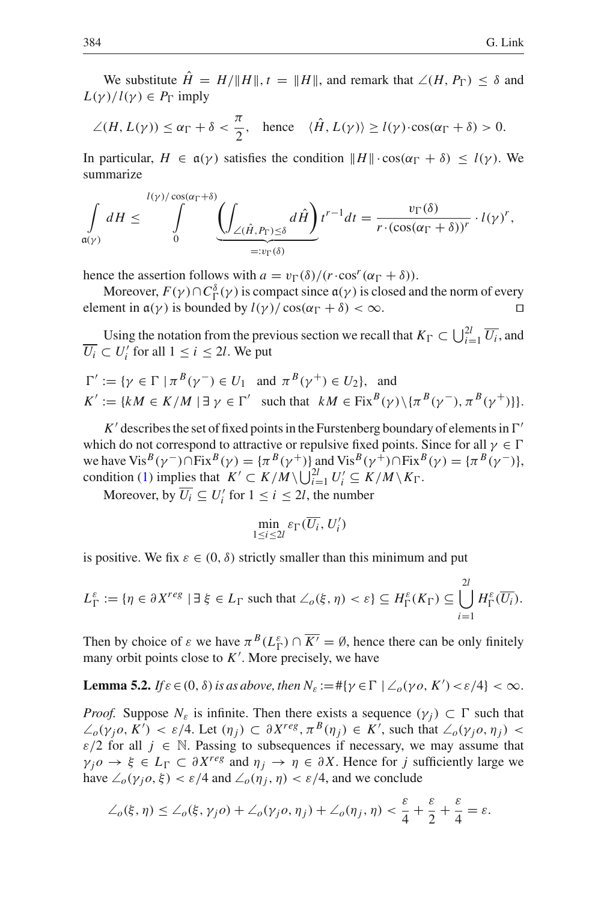We substitute  $\hat{H} = H / ||H||$ ,  $t = ||H||$ , and remark that  $\angle(H, P_{\Gamma}) < \delta$  and  $L(\gamma)/l(\gamma) \in P_{\Gamma}$  imply

$$
\angle(H, L(\gamma)) \le \alpha_{\Gamma} + \delta < \frac{\pi}{2}, \quad \text{hence} \quad \langle \hat{H}, L(\gamma) \rangle \ge l(\gamma) \cdot \cos(\alpha_{\Gamma} + \delta) > 0.
$$

In particular,  $H \in \mathfrak{a}(\gamma)$  satisfies the condition  $||H|| \cdot \cos(\alpha_{\Gamma} + \delta) \le l(\gamma)$ . We summarize

$$
\int\limits_{\mathfrak{a}(\gamma)} dH \leq \int\limits_{0}^{l(\gamma)/\cos(\alpha_{\Gamma}+\delta)} \underbrace{\left(\int_{\angle(\hat{H},P_{\Gamma})\leq\delta} d\hat{H}\right)}_{=:v_{\Gamma}(\delta)} t^{r-1} dt = \frac{v_{\Gamma}(\delta)}{r \cdot (\cos(\alpha_{\Gamma}+\delta))^{r}} \cdot l(\gamma)^{r},
$$

hence the assertion follows with  $a = v_\Gamma(\delta)/(r \cdot \cos^r(\alpha_\Gamma + \delta)).$ 

Moreover,  $F(\gamma) \cap C_{\Gamma}^{\delta}(\gamma)$  is compact since  $a(\gamma)$  is closed and the norm of every nent in  $a(\gamma)$  is bounded by  $l(\gamma)/\cos(\alpha_{\Gamma} + \delta) < \infty$ element in  $a(\gamma)$  is bounded by  $l(\gamma)/\cos(\alpha_{\Gamma} + \delta) < \infty$ .

Using the notation from the previous section we recall that  $K_{\Gamma} \subset \bigcup_{i=1}^{2l} \overline{U_i}$ , and  $\overline{U_i} \subset U'_i$  for all  $1 \leq i \leq 2l$ . We put

$$
\Gamma' := \{ \gamma \in \Gamma \mid \pi^B(\gamma^-) \in U_1 \text{ and } \pi^B(\gamma^+) \in U_2 \}, \text{ and}
$$
  

$$
K' := \{ kM \in K/M \mid \exists \ \gamma \in \Gamma' \text{ such that } kM \in \text{Fix}^B(\gamma) \setminus \{ \pi^B(\gamma^-), \pi^B(\gamma^+) \} \}.
$$

 $K'$  describes the set of fixed points in the Furstenberg boundary of elements in  $\Gamma'$ which do not correspond to attractive or repulsive fixed points. Since for all  $\gamma \in \Gamma$ we have Vis<sup>B</sup>( $\gamma$ <sup>-</sup>)∩Fix<sup>B</sup>( $\gamma$ ) = { $\pi$ <sup>B</sup>( $\gamma$ <sup>+</sup>)} and Vis<sup>B</sup>( $\gamma$ <sup>+</sup>)∩Fix<sup>B</sup>( $\gamma$ ) = { $\pi$ <sup>B</sup>( $\gamma$ <sup>-</sup>)}, condition [\(1\)](#page-6-2) implies that  $K' \subset K/M \setminus \bigcup_{i=1}^{2l} U'_i \subseteq K/M \setminus K_\Gamma$ .

Moreover, by  $\overline{U_i} \subseteq U'_i$  for  $1 \le i \le 2l$ , the number

$$
\min_{1 \leq i \leq 2l} \varepsilon_{\Gamma}(\overline{U_i}, U_i')
$$

is positive. We fix  $\varepsilon \in (0, \delta)$  strictly smaller than this minimum and put

$$
L_{\Gamma}^{\varepsilon} := \{ \eta \in \partial X^{reg} \mid \exists \xi \in L_{\Gamma} \text{ such that } \angle_{o}(\xi, \eta) < \varepsilon \} \subseteq H_{\Gamma}^{\varepsilon}(K_{\Gamma}) \subseteq \bigcup_{i=1}^{2l} H_{\Gamma}^{\varepsilon}(\overline{U_{i}}).
$$

Then by choice of  $\varepsilon$  we have  $\pi^B(L_{\Gamma}^{\varepsilon}) \cap \overline{K'} = \emptyset$ , hence there can be only finitely many orbit points close to  $K'$ . More precisely, we have

**Lemma 5.2.** If 
$$
\varepsilon \in (0, \delta)
$$
 is as above, then  $N_{\varepsilon} := \#\{\gamma \in \Gamma \mid \angle_o(\gamma o, K') < \varepsilon/4\} < \infty$ .

*Proof.* Suppose  $N_{\varepsilon}$  is infinite. Then there exists a sequence  $(\gamma_i) \subset \Gamma$  such that  $\angle_o(\gamma_j o, K') < \varepsilon/4$ . Let  $(\eta_j) \subset \partial X^{reg}, \pi^B(\eta_j) \in K'$ , such that  $\angle_o(\gamma_j o, \eta_j)$  $\varepsilon/2$  for all  $j \in \mathbb{N}$ . Passing to subsequences if necessary, we may assume that  $\gamma_j \circ \varphi \in L_{\Gamma} \subset \partial X^{reg}$  and  $\eta_j \to \eta \in \partial X$ . Hence for *j* sufficiently large we have  $\angle_{\mathfrak{o}}(\gamma_i, \xi) < \varepsilon/4$  and  $\angle_{\mathfrak{o}}(\eta_i, \eta) < \varepsilon/4$ , and we conclude

$$
\angle_o(\xi, \eta) \leq \angle_o(\xi, \gamma_j o) + \angle_o(\gamma_j o, \eta_j) + \angle_o(\eta_j, \eta) < \frac{\varepsilon}{4} + \frac{\varepsilon}{2} + \frac{\varepsilon}{4} = \varepsilon.
$$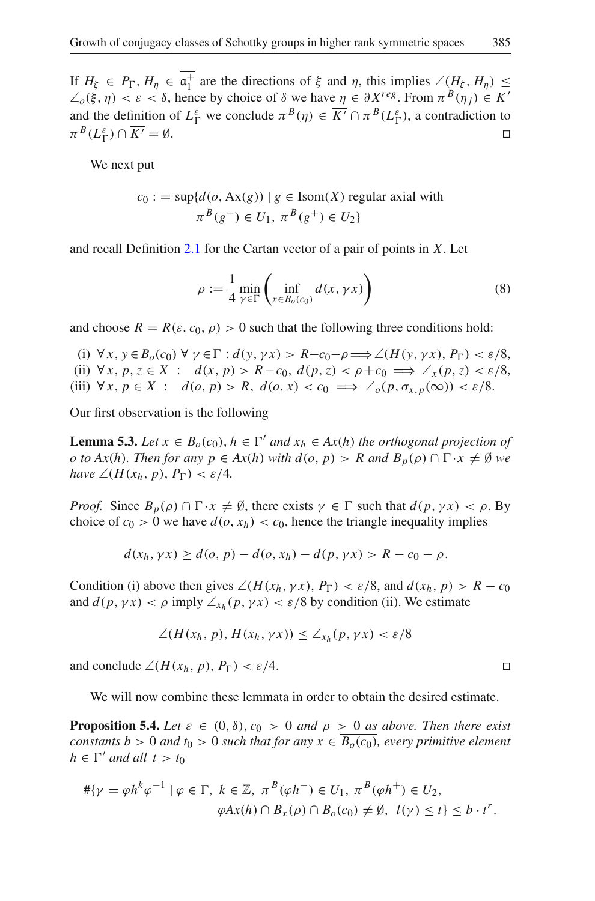If  $H_{\xi} \in P_{\Gamma}$ ,  $H_{\eta} \in \mathfrak{a}_{\Gamma}^{+}$  are the directions of  $\xi$  and  $\eta$ , this implies  $\angle (H_{\xi}, H_{\eta}) \le$ <br> $\angle (E \cap \mathfrak{a}) \le \varepsilon \le \delta$  hence by choice of  $\delta$  we have  $n \in \partial X^{reg}$  From  $\pi^{B}(n_{\xi}) \in K'$  $\angle_o(\xi, \eta) < \varepsilon < \delta$ , hence by choice of  $\delta$  we have  $\eta \in \partial X^{reg}$ . From  $\pi^B(\eta_i) \in K'$ and the definition of  $L_{\Gamma}^{\varepsilon}$  we conclude  $\pi^{B}(\eta) \in \overline{K'} \cap \pi^{B}(L_{\Gamma}^{\varepsilon})$ , a contradiction to  $\pi^B(L_\Gamma^\varepsilon) \cap \overline{K'} = \emptyset.$ 

We next put

$$
c_0 := \sup \{ d(o, \text{Ax}(g)) \mid g \in \text{Isom}(X) \text{ regular axial with}
$$

$$
\pi^B(g^-) \in U_1, \pi^B(g^+) \in U_2 \}
$$

and recall Definition [2.1](#page-3-0) for the Cartan vector of a pair of points in *X*. Let

$$
\rho := \frac{1}{4} \min_{\gamma \in \Gamma} \left( \inf_{x \in B_o(c_0)} d(x, \gamma x) \right) \tag{8}
$$

and choose  $R = R(\varepsilon, c_0, \rho) > 0$  such that the following three conditions hold:

(i)  $\forall x, y \in B_0(c_0) \forall y \in \Gamma : d(y, \gamma x) > R - c_0 - \rho \Longrightarrow \angle(H(y, \gamma x), P_{\Gamma}) < \varepsilon/8,$ (ii) ∀ *x*, *p*, *z* ∈ *X* : *d*(*x*, *p*) > *R*−*c*<sub>0</sub>, *d*(*p*, *z*) < *ρ*+*c*<sub>0</sub>  $\implies$  ∠*x*(*p*, *z*) < *ε*/8, (iii)  $\forall x, p \in X : d(o, p) > R, d(o, x) < c_0 \implies \angle_o(p, \sigma_{x,p}(\infty)) < \varepsilon/8.$ 

<span id="page-11-0"></span>Our first observation is the following

**Lemma 5.3.** *Let*  $x \in B_o(c_0)$ ,  $h \in \Gamma'$  *and*  $x_h \in Ax(h)$  *the orthogonal projection of o* to  $Ax(h)$ *. Then for any*  $p \in Ax(h)$  *<i>with*  $d(o, p) > R$  *and*  $B_p(\rho) \cap \Gamma \cdot x \neq \emptyset$  *we have*  $\angle (H(x_h, p), P_{\Gamma}) < \varepsilon/4$ *.* 

*Proof.* Since  $B_p(\rho) \cap \Gamma \cdot x \neq \emptyset$ , there exists  $\gamma \in \Gamma$  such that  $d(p, \gamma x) < \rho$ . By choice of  $c_0 > 0$  we have  $d(o, x_h) < c_0$ , hence the triangle inequality implies

$$
d(x_h, \gamma x) \ge d(o, p) - d(o, x_h) - d(p, \gamma x) > R - c_0 - \rho.
$$

Condition (i) above then gives  $\angle (H(x_h, \gamma x), P_{\Gamma}) < \varepsilon/8$ , and  $d(x_h, p) > R - c_0$ and  $d(p, \gamma x) < \rho$  imply  $\angle_{x_h}(p, \gamma x) < \varepsilon/8$  by condition (ii). We estimate

$$
\angle(H(x_h, p), H(x_h, \gamma x)) \leq \angle_{x_h}(p, \gamma x) < \varepsilon/8
$$

and conclude  $\angle (H(x_h, p), P_{\Gamma}) < \varepsilon/4$ .

We will now combine these lemmata in order to obtain the desired estimate.

**Proposition 5.4.** *Let*  $\varepsilon \in (0, \delta), c_0 > 0$  *and*  $\rho > 0$  *as above. Then there exist constants b* > 0 *and t*<sup>0</sup> > 0 *such that for any*  $x \in \overline{B_o(c_0)}$ *, every primitive element*  $h \in \Gamma'$  *and all*  $t > t_0$ 

$$
\#\{\gamma = \varphi h^k \varphi^{-1} \mid \varphi \in \Gamma, \ k \in \mathbb{Z}, \ \pi^B(\varphi h^-) \in U_1, \ \pi^B(\varphi h^+) \in U_2, \varphi Ax(h) \cap B_x(\rho) \cap B_o(c_0) \neq \emptyset, \ l(\gamma) \leq t \} \leq b \cdot t^r.
$$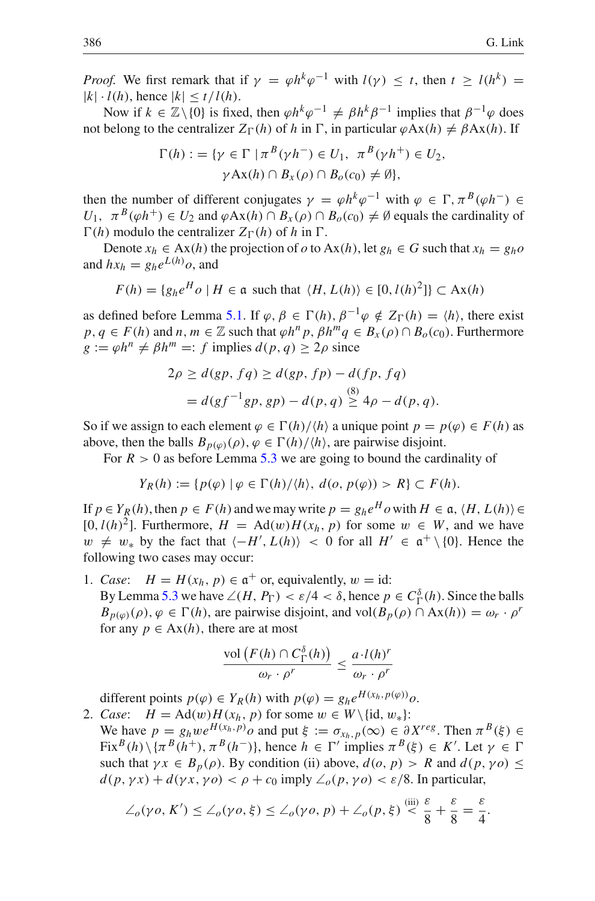*Proof.* We first remark that if  $\gamma = \varphi h^k \varphi^{-1}$  with  $l(\gamma) \leq t$ , then  $t > l(h^k) =$  $|k| \cdot l(h)$ , hence  $|k| \leq t/l(h)$ .

Now if  $k \in \mathbb{Z}\setminus\{0\}$  is fixed, then  $\varphi h^k\varphi^{-1} \neq \beta h^k\beta^{-1}$  implies that  $\beta^{-1}\varphi$  does not belong to the centralizer  $Z_{\Gamma}(h)$  of *h* in  $\Gamma$ , in particular  $\varphi Ax(h) \neq \beta Ax(h)$ . If

$$
\Gamma(h) := \{ \gamma \in \Gamma \mid \pi^B(\gamma h^-) \in U_1, \ \pi^B(\gamma h^+) \in U_2, \\ \gamma \operatorname{Ax}(h) \cap B_x(\rho) \cap B_o(c_0) \neq \emptyset \},\
$$

then the number of different conjugates  $\gamma = \varphi h^k \varphi^{-1}$  with  $\varphi \in \Gamma$ ,  $\pi^B(\varphi h^-) \in$  $U_1$ ,  $\pi^B(\varphi h^+) \in U_2$  and  $\varphi Ax(h) \cap B_x(\rho) \cap B_0(c_0) \neq \emptyset$  equals the cardinality of  $\Gamma(h)$  modulo the centralizer  $Z_{\Gamma}(h)$  of h in  $\Gamma$ .

Denote  $x_h \in Ax(h)$  the projection of *o* to  $Ax(h)$ , let  $g_h \in G$  such that  $x_h = g_h o$ and  $hx_h = g_h e^{L(h)} o$ , and

$$
F(h) = \{g_h e^H o \mid H \in \mathfrak{a} \text{ such that } \langle H, L(h) \rangle \in [0, l(h)^2] \} \subset \mathbf{Ax}(h)
$$

as defined before Lemma [5.1.](#page-9-0) If  $\varphi, \beta \in \Gamma(h), \beta^{-1}\varphi \notin Z_{\Gamma}(h) = \langle h \rangle$ , there exist  $p, q \in F(h)$  and  $n, m \in \mathbb{Z}$  such that  $\varphi h^n p, \beta h^m q \in B_x(\rho) \cap B_o(c_0)$ . Furthermore  $g := \varphi h^n \neq \beta h^m =: f$  implies  $d(p, q) > 2\rho$  since

$$
2\rho \ge d(gp, fq) \ge d(gp, fp) - d(fp, fq)
$$
  
=  $d(gf^{-1}gp, gp) - d(p, q) \ge 4\rho - d(p, q)$ .

So if we assign to each element  $\varphi \in \Gamma(h)/\langle h \rangle$  a unique point  $p = p(\varphi) \in F(h)$  as above, then the balls  $B_{p(\varphi)}(\rho), \varphi \in \Gamma(h)/\langle h \rangle$ , are pairwise disjoint.

For  $R > 0$  as before Lemma [5.3](#page-11-0) we are going to bound the cardinality of

$$
Y_R(h) := \{ p(\varphi) \mid \varphi \in \Gamma(h) / \langle h \rangle, \ d(o, p(\varphi)) > R \} \subset F(h).
$$

If  $p \in Y_R(h)$ , then  $p \in F(h)$  and we may write  $p = g_h e^H o$  with  $H \in \mathfrak{a}, \langle H, L(h) \rangle \in$ [0,  $l(h)^2$ ]. Furthermore,  $H = \text{Ad}(w)H(x_h, p)$  for some  $w \in W$ , and we have  $w \neq w_*$  by the fact that  $\langle -H', L(h) \rangle < 0$  for all  $H' \in \mathfrak{a}^+ \setminus \{0\}$ . Hence the following two cases may occur: following two cases may occur:

1. *Case*:  $H = H(x_h, p) \in \mathfrak{a}^+$  or, equivalently,  $w = id$ : By Lemma [5.3](#page-11-0) we have  $\angle(H, P_{\Gamma}) < \varepsilon/4 < \delta$ , hence  $p \in C_{\Gamma}^{\delta}(h)$ . Since the balls  $B_{p(\varphi)}(\rho), \varphi \in \Gamma(h)$ , are pairwise disjoint, and vol $(B_p(\rho) \cap Ax(h)) = \omega_r \cdot \rho^r$ 

$$
\frac{\mathrm{vol}\left(F(h)\cap C^{\delta}_{\Gamma}(h)\right)}{\omega_{r}\cdot\rho^{r}}\leq\frac{a\cdot l(h)^{r}}{\omega_{r}\cdot\rho^{r}}
$$

different points  $p(\varphi) \in Y_R(h)$  with  $p(\varphi) = g_h e^{H(x_h, p(\varphi))} \varphi$ .

2. *Case*:  $H = \text{Ad}(w)H(x_h, p)$  for some  $w \in W \setminus \{id, w_*\}$ :

for any  $p \in Ax(h)$ , there are at most

We have  $p = g_h w e^{H(x_h, p)} o$  and put  $\xi := \sigma_{x_h, p}(\infty) \in \partial X^{reg}$ . Then  $\pi^B(\xi) \in$  $Fix^B(h) \setminus {\lbrace \pi^B(h^+), \pi^B(h^-) \rbrace}$ , hence  $h \in \Gamma'$  implies  $\pi^B(\xi) \in K'$ . Let  $\gamma \in \Gamma$ such that  $\gamma x \in B_p(\rho)$ . By condition (ii) above,  $d(\rho, p) > R$  and  $d(p, \gamma \rho) \le$  $d(p, \gamma x) + d(\gamma x, \gamma o) < \rho + c_0$  imply  $\angle_o(p, \gamma o) < \varepsilon/8$ . In particular,

$$
\angle_o(\gamma o, K') \leq \angle_o(\gamma o, \xi) \leq \angle_o(\gamma o, p) + \angle_o(p, \xi) \stackrel{\text{(iii)}}{\leq} \frac{\varepsilon}{8} + \frac{\varepsilon}{8} = \frac{\varepsilon}{4}.
$$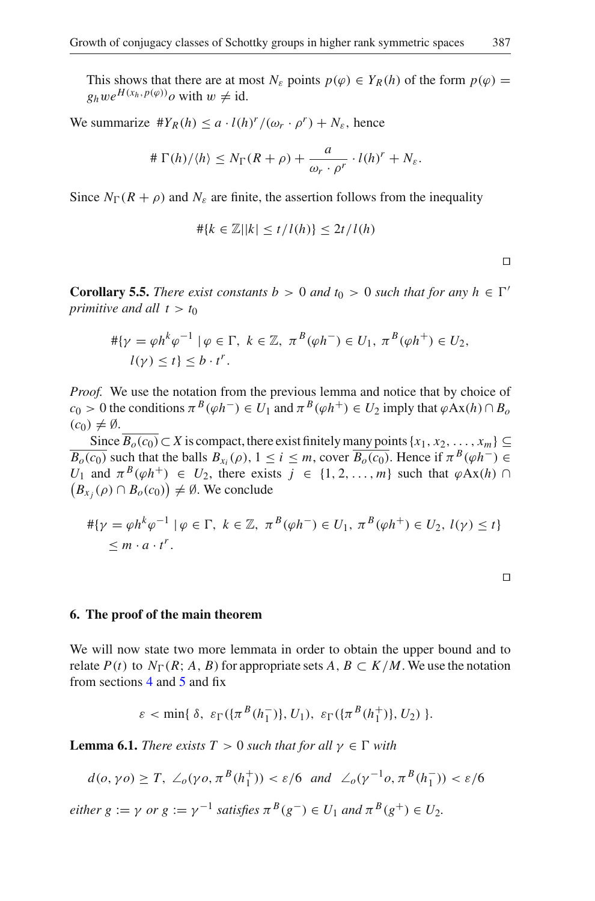This shows that there are at most  $N_{\varepsilon}$  points  $p(\varphi) \in Y_R(h)$  of the form  $p(\varphi) =$  $g_hwe^{H(x_h, p(\varphi))}$ *o* with  $w \neq id$ .

We summarize  $#Y_R(h) \leq a \cdot l(h)^r / (\omega_r \cdot \rho^r) + N_{\varepsilon}$ , hence

$$
\#\Gamma(h)/\langle h\rangle \leq N_{\Gamma}(R+\rho) + \frac{a}{\omega_r \cdot \rho^r} \cdot l(h)^r + N_{\varepsilon}.
$$

Since  $N_{\Gamma}(R + \rho)$  and  $N_{\varepsilon}$  are finite, the assertion follows from the inequality

$$
\#\{k\in\mathbb{Z}||k|\leq t/l(h)\}\leq 2t/l(h)
$$

<span id="page-13-1"></span>**Corollary 5.5.** *There exist constants b* > 0 *and t*<sub>0</sub> > 0 *such that for any*  $h \in \Gamma'$ *primitive and all*  $t > t_0$ 

$$
\begin{aligned} \# \{ \gamma = \varphi h^k \varphi^{-1} \mid \varphi \in \Gamma, \ k \in \mathbb{Z}, \ \pi^B(\varphi h^-) \in U_1, \ \pi^B(\varphi h^+) \in U_2, \\ l(\gamma) \le t \} \le b \cdot t^r. \end{aligned}
$$

*Proof.* We use the notation from the previous lemma and notice that by choice of  $c_0 > 0$  the conditions  $\pi^B(\varphi h^-) \in U_1$  and  $\pi^B(\varphi h^+) \in U_2$  imply that  $\varphi Ax(h) \cap B_0$  $(c_0) \neq \emptyset$ .

Since  $\overline{B_o(c_0)} \subset X$  is compact, there exist finitely many points  $\{x_1, x_2, \ldots, x_m\} \subseteq$  $\overline{B_o(c_0)}$  such that the balls  $B_{x_i}(\rho), 1 \leq i \leq m$ , cover  $\overline{B_o(c_0)}$ . Hence if  $\pi^B(\varphi h^-) \in$ *U*<sub>1</sub> and  $\pi^{B}(\varphi h^{+}) \in U_{2}$ , there exists  $j \in \{1, 2, ..., m\}$  such that  $\varphi Ax(h) \cap$  $(B_{x_j}(\rho) \cap B_o(c_0)) \neq \emptyset$ . We conclude

$$
\begin{aligned} \# \{ \gamma = \varphi h^k \varphi^{-1} \mid \varphi \in \Gamma, \ k \in \mathbb{Z}, \ \pi^B(\varphi h^-) \in U_1, \ \pi^B(\varphi h^+) \in U_2, \ l(\gamma) \le t \} \\ &\le m \cdot a \cdot t^r. \end{aligned}
$$

#### **6. The proof of the main theorem**

We will now state two more lemmata in order to obtain the upper bound and to relate  $P(t)$  to  $N_{\Gamma}(R; A, B)$  for appropriate sets  $A, B \subset K/M$ . We use the notation from sections [4](#page-6-1) and [5](#page-9-1) and fix

$$
\varepsilon < \min\{\,\delta,\ \varepsilon_{\Gamma}(\{\pi^B(h_1^-)\}, U_1),\ \varepsilon_{\Gamma}(\{\pi^B(h_1^+)\}, U_2)\ \}.
$$

<span id="page-13-0"></span>**Lemma 6.1.** *There exists*  $T > 0$  *such that for all*  $\gamma \in \Gamma$  *with* 

$$
d(o, \gamma o) \ge T, \ \angle_o(\gamma o, \pi^B(h_1^+)) < \varepsilon/6 \ \text{and} \ \angle_o(\gamma^{-1} o, \pi^B(h_1^-)) < \varepsilon/6
$$

*either g* :=  $\gamma$  *or g* :=  $\gamma^{-1}$  *satisfies*  $\pi^{B}(g^{-}) \in U_1$  *and*  $\pi^{B}(g^{+}) \in U_2$ *.* 

 $\Box$ 

 $\Box$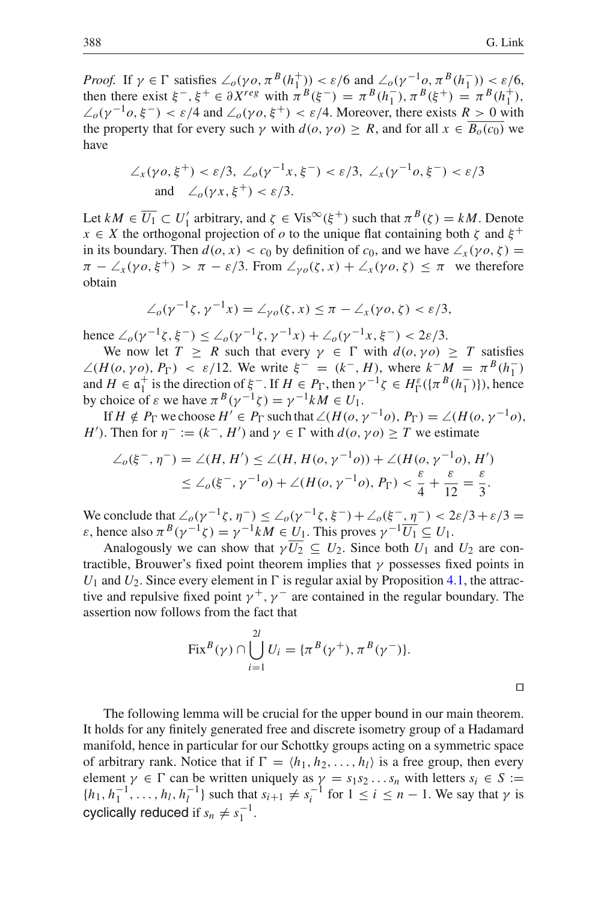$\Box$ 

*Proof.* If  $\gamma \in \Gamma$  satisfies  $\angle_o(\gamma o, \pi^B(h_1^+)) < \varepsilon/6$  and  $\angle_o(\gamma^{-1} o, \pi^B(h_1^-)) < \varepsilon/6$ , then there exist  $\xi^{-}$ ,  $\xi^{+} \in \partial X^{reg}$  with  $\pi^{B}(\xi^{-}) = \pi^{B}(h_{1}^{-})$ ,  $\pi^{B}(\xi^{+}) = \pi^{B}(h_{1}^{+})$ ,  $\angle$ <sub>*o*</sub>( $\gamma$ <sup>-1</sup>*o*,  $\xi$ <sup>-</sup>) <  $\varepsilon$ /4 and  $\angle$ <sub>*o*</sub>( $\gamma$ *o*,  $\xi$ <sup>+</sup>) <  $\varepsilon$ /4. Moreover, there exists *R* > 0 with the property that for every such  $\gamma$  with  $d(o, \gamma o) \geq R$ , and for all  $x \in \overline{B_o(c_0)}$  we have

$$
\angle_x(\gamma o, \xi^+) < \varepsilon/3, \angle_o(\gamma^{-1}x, \xi^-) < \varepsilon/3, \angle_x(\gamma^{-1}o, \xi^-) < \varepsilon/3
$$
\nand\n
$$
\angle_o(\gamma x, \xi^+) < \varepsilon/3.
$$

Let  $kM \in \overline{U_1} \subset U'_1$  arbitrary, and  $\zeta \in \text{Vis}^\infty(\xi^+)$  such that  $\pi^B(\zeta) = kM$ . Denote  $x \in X$  the orthogonal projection of *o* to the unique flat containing both  $\zeta$  and  $\xi^+$ in its boundary. Then  $d(o, x) < c_0$  by definition of  $c_0$ , and we have  $\angle_x(\gamma o, \zeta) =$  $\pi - \angle_x(\gamma o, \xi^+) > \pi - \varepsilon/3$ . From  $\angle_{\gamma o}(\zeta, x) + \angle_x(\gamma o, \zeta) \leq \pi$  we therefore obtain

$$
\angle_o(\gamma^{-1}\zeta,\gamma^{-1}x)=\angle_{\gamma o}(\zeta,x)\leq \pi-\angle_x(\gamma o,\zeta)<\varepsilon/3,
$$

hence  $\angle_{\rho}(\gamma^{-1}\zeta,\xi^{-}) \leq \angle_{\rho}(\gamma^{-1}\zeta,\gamma^{-1}x) + \angle_{\rho}(\gamma^{-1}x,\xi^{-}) < 2\varepsilon/3$ .

We now let  $T \geq R$  such that every  $\gamma \in \Gamma$  with  $d(o, \gamma o) \geq T$  satisfies  $\angle(H(o, \gamma o), P_{\Gamma}) \le \varepsilon/12$ . We write  $\xi^{-} = (k^{-}, H)$ , where  $k^{-}M = \pi^{B}(h_{1}^{-})$ and  $H \in \mathfrak{a}_1^+$  is the direction of  $\xi^-$ . If  $H \in P_\Gamma$ , then  $\gamma^{-1}\zeta \in H_\Gamma^{\varepsilon}(\{\pi^B(h_1^-)\})$ , hence<br>by choice of  $\varepsilon$  we have  $\pi^B(\gamma^{-1}\zeta) = \gamma^{-1}kM \in H$ . by choice of  $\varepsilon$  we have  $\pi^{B}(\gamma^{-1}\zeta) = \gamma^{-1}kM \in U_1$ .

If  $H \notin P_{\Gamma}$  we choose  $H' \in P_{\Gamma}$  such that  $\angle (H(o, \gamma^{-1}o), P_{\Gamma}) = \angle (H(o, \gamma^{-1}o),$ *H'*). Then for  $\eta^- := (k^-, H')$  and  $\gamma \in \Gamma$  with  $d(o, \gamma o) \geq T$  we estimate

$$
\angle_o(\xi^-, \eta^-) = \angle(H, H') \le \angle(H, H(o, \gamma^{-1}o)) + \angle(H(o, \gamma^{-1}o), H')
$$
  

$$
\le \angle_o(\xi^-, \gamma^{-1}o) + \angle(H(o, \gamma^{-1}o), P_\Gamma) < \frac{\varepsilon}{4} + \frac{\varepsilon}{12} = \frac{\varepsilon}{3}.
$$

We conclude that  $\angle_o(\gamma^{-1}\zeta,\eta^{-}) \leq \angle_o(\gamma^{-1}\zeta,\xi^{-}) + \angle_o(\xi^{-},\eta^{-}) < 2\varepsilon/3 + \varepsilon/3 =$  $\varepsilon$ , hence also  $\pi^{B}(\gamma^{-1}\zeta) = \gamma^{-1}kM \in U_1$ . This proves  $\gamma^{-1}\overline{U_1} \subseteq U_1$ .

Analogously we can show that  $\gamma \overline{U_2} \subseteq U_2$ . Since both  $U_1$  and  $U_2$  are contractible, Brouwer's fixed point theorem implies that  $\gamma$  possesses fixed points in  $U_1$  and  $U_2$ . Since every element in  $\Gamma$  is regular axial by Proposition [4.1,](#page-6-0) the attractive and repulsive fixed point  $\gamma^+$ ,  $\gamma^-$  are contained in the regular boundary. The assertion now follows from the fact that

Fix<sup>B</sup>(
$$
\gamma
$$
)  $\cap \bigcup_{i=1}^{2l} U_i = {\pi^B(\gamma^+), \pi^B(\gamma^-)}.$ 

<span id="page-14-0"></span>The following lemma will be crucial for the upper bound in our main theorem. It holds for any finitely generated free and discrete isometry group of a Hadamard manifold, hence in particular for our Schottky groups acting on a symmetric space of arbitrary rank. Notice that if  $\Gamma = \langle h_1, h_2, \dots, h_l \rangle$  is a free group, then every element  $\gamma \in \Gamma$  can be written uniquely as  $\gamma = s_1 s_2 \dots s_n$  with letters  $s_i \in S :=$  $\{h_1, h_1^{-1}, \ldots, h_l, h_l^{-1}\}$  such that  $s_{i+1} \neq s_i^{-1}$  for  $1 \leq i \leq n-1$ . We say that  $\gamma$  is cyclically reduced if  $s_n \neq s_1^{-1}$ .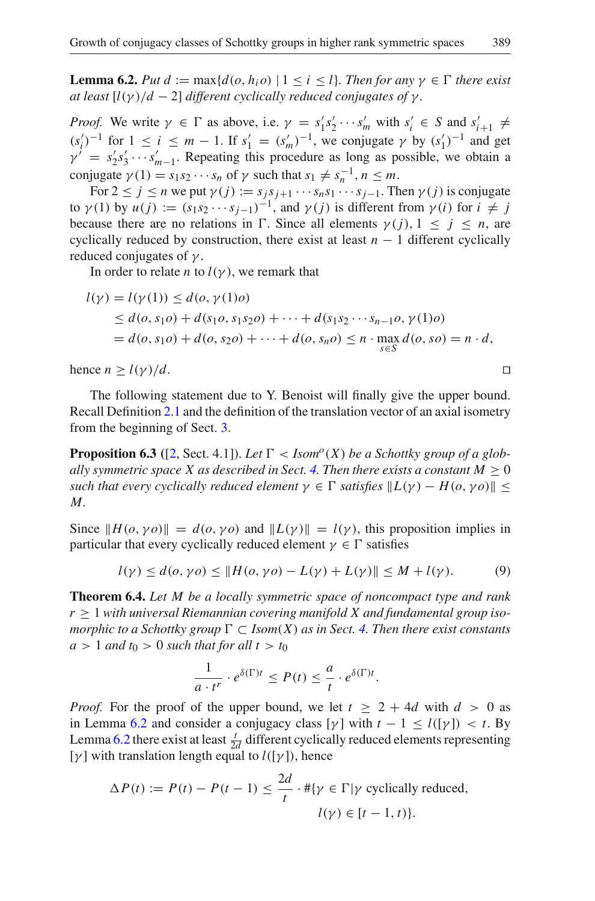**Lemma 6.2.** *Put d* := max{ $d(o, h_i o)$  | 1 < *i* < *l*}*. Then for any*  $\gamma \in \Gamma$  *there exist at least*  $[l(\gamma)/d - 2]$  *different cyclically reduced conjugates of*  $\gamma$ *.* 

*Proof.* We write  $\gamma \in \Gamma$  as above, i.e.  $\gamma = s'_1 s'_2 \cdots s'_m$  with  $s'_i \in S$  and  $s'_{i+1} \neq$  $(s_i')^{-1}$  for  $1 \le i \le m - 1$ . If  $s'_1 = (s'_m)^{-1}$ , we conjugate  $\gamma$  by  $(s'_1)^{-1}$  and get  $\gamma^{\prime} = s_2^{\prime} s_3^{\prime} \cdots s_{m-1}^{\prime}$ . Repeating this procedure as long as possible, we obtain a conjugate  $\gamma(1) = s_1 s_2 \cdots s_n$  of  $\gamma$  such that  $s_1 \neq s_n^{-1}, n \leq m$ .

For  $2 \le j \le n$  we put  $\gamma(j) := s_j s_{j+1} \cdots s_n s_1 \cdots s_{j-1}$ . Then  $\gamma(j)$  is conjugate to  $\gamma$ (1) by  $u(j) := (s_1 s_2 \cdots s_{j-1})^{-1}$ , and  $\gamma$ (*j*) is different from  $\gamma$ (*i*) for  $i \neq j$ because there are no relations in  $\Gamma$ . Since all elements  $\gamma(j)$ ,  $1 \leq j \leq n$ , are cyclically reduced by construction, there exist at least *n* − 1 different cyclically reduced conjugates of  $\gamma$ .

In order to relate *n* to  $l(\gamma)$ , we remark that

$$
l(\gamma) = l(\gamma(1)) \leq d(o, \gamma(1)o)
$$
  
\n
$$
\leq d(o, s_1 o) + d(s_1 o, s_1 s_2 o) + \dots + d(s_1 s_2 \cdots s_{n-1} o, \gamma(1)o)
$$
  
\n
$$
= d(o, s_1 o) + d(o, s_2 o) + \dots + d(o, s_n o) \leq n \cdot \max_{s \in S} d(o, s o) = n \cdot d,
$$

hence  $n \ge l(\gamma)/d$ .

The following statement due to Y. Benoist will finally give the upper bound. Recall Definition [2.1](#page-3-0) and the definition of the translation vector of an axial isometry from the beginning of Sect. [3.](#page-4-0)

**Proposition 6.3** ([\[2](#page-17-12), Sect. 4.1]). Let  $\Gamma$  < Isom<sup>o</sup>(*X*) be a Schottky group of a glob*ally symmetric space X as described in Sect.* [4.](#page-6-1) Then there exists a constant  $M > 0$ *such that every cyclically reduced element*  $\gamma \in \Gamma$  *satisfies*  $\|L(\gamma) - H(o, \gamma o)\|$  < *M.*

Since  $||H(o, \gamma o)|| = d(o, \gamma o)$  and  $||L(\gamma)|| = l(\gamma)$ , this proposition implies in particular that every cyclically reduced element  $\gamma \in \Gamma$  satisfies

$$
l(\gamma) \le d(o, \gamma o) \le ||H(o, \gamma o) - L(\gamma) + L(\gamma)|| \le M + l(\gamma).
$$
 (9)

<span id="page-15-0"></span>**Theorem 6.4.** *Let M be a locally symmetric space of noncompact type and rank*  $r \geq 1$  with universal Riemannian covering manifold X and fundamental group iso*morphic to a Schottky group*  $\Gamma \subset \text{Isom}(X)$  *as in Sect.* [4.](#page-6-1) Then there exist constants  $a > 1$  *and*  $t_0 > 0$  *such that for all t*  $> t_0$ 

$$
\frac{1}{a \cdot t^r} \cdot e^{\delta(\Gamma)t} \le P(t) \le \frac{a}{t} \cdot e^{\delta(\Gamma)t}.
$$

*Proof.* For the proof of the upper bound, we let  $t \geq 2 + 4d$  with  $d > 0$  as in Lemma [6.2](#page-14-0) and consider a conjugacy class  $[\gamma]$  with  $t - 1 \le l([\gamma]) < t$ . By Lemma [6.2](#page-14-0) there exist at least  $\frac{t}{2d}$  different cyclically reduced elements representing [ $\gamma$ ] with translation length equal to  $l([\gamma])$ , hence

$$
\Delta P(t) := P(t) - P(t-1) \le \frac{2d}{t} \cdot #\{\gamma \in \Gamma | \gamma \text{ cyclically reduced},\}
$$
  

$$
l(\gamma) \in [t-1, t)\}.
$$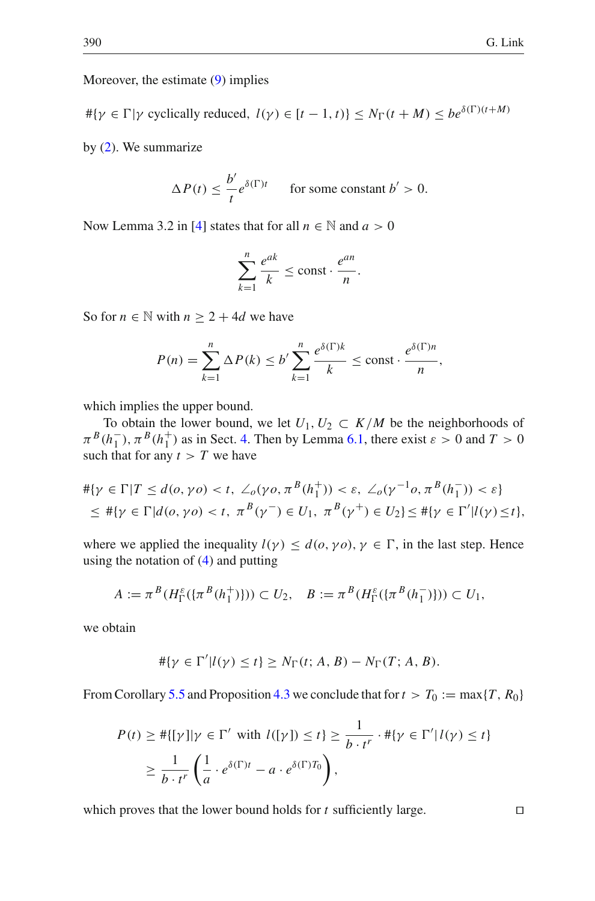Moreover, the estimate [\(9\)](#page-15-0) implies

 $\#\{\gamma \in \Gamma | \gamma \text{ cyclically reduced}, l(\gamma) \in [t-1, t)\} \leq N_{\Gamma}(t+M) \leq be^{\delta(\Gamma)(t+M)}$ by [\(2\)](#page-7-1). We summarize

$$
\Delta P(t) \le \frac{b'}{t} e^{\delta(\Gamma)t} \qquad \text{for some constant } b' > 0.
$$

Now Lemma 3.2 in [\[4](#page-17-21)] states that for all  $n \in \mathbb{N}$  and  $a > 0$ 

$$
\sum_{k=1}^{n} \frac{e^{ak}}{k} \le \text{const} \cdot \frac{e^{an}}{n}.
$$

So for  $n \in \mathbb{N}$  with  $n \geq 2 + 4d$  we have

$$
P(n) = \sum_{k=1}^{n} \Delta P(k) \le b' \sum_{k=1}^{n} \frac{e^{\delta(\Gamma)k}}{k} \le \text{const} \cdot \frac{e^{\delta(\Gamma)n}}{n},
$$

which implies the upper bound.

To obtain the lower bound, we let  $U_1, U_2 \subset K/M$  be the neighborhoods of  $\pi^{B}(h_{1}^{-})$ ,  $\pi^{B}(h_{1}^{+})$  as in Sect. [4.](#page-6-1) Then by Lemma [6.1,](#page-13-0) there exist  $\varepsilon > 0$  and  $T > 0$ such that for any  $t > T$  we have

$$
\begin{aligned} &\# \{ \gamma \in \Gamma | T \le d(o, \gamma o) < t, \ \angle_o(\gamma o, \pi^B(h_1^+)) < \varepsilon, \ \angle_o(\gamma^{-1} o, \pi^B(h_1^-)) < \varepsilon \} \\ &\le \# \{ \gamma \in \Gamma | d(o, \gamma o) < t, \ \pi^B(\gamma^{-}) \in U_1, \ \pi^B(\gamma^{+}) \in U_2 \} \le \# \{ \gamma \in \Gamma' | l(\gamma) \le t \}, \end{aligned}
$$

where we applied the inequality  $l(\gamma) \leq d(o, \gamma o), \gamma \in \Gamma$ , in the last step. Hence using the notation of [\(4\)](#page-7-4) and putting

$$
A := \pi^{B}(H_{\Gamma}^{\varepsilon}(\{\pi^{B}(h_{1}^{+})\})) \subset U_{2}, \quad B := \pi^{B}(H_{\Gamma}^{\varepsilon}(\{\pi^{B}(h_{1}^{-})\})) \subset U_{1},
$$

we obtain

$$
\#\{\gamma \in \Gamma' | l(\gamma) \leq t\} \geq N_{\Gamma}(t; A, B) - N_{\Gamma}(T; A, B).
$$

From Corollary [5.5](#page-13-1) and Proposition [4.3](#page-7-0) we conclude that for  $t > T_0 := \max\{T, R_0\}$ 

$$
P(t) \geq #\{[\gamma]|\gamma \in \Gamma' \text{ with } l([\gamma]) \leq t\} \geq \frac{1}{b \cdot t^r} \cdot #\{\gamma \in \Gamma' | l(\gamma) \leq t\}
$$

$$
\geq \frac{1}{b \cdot t^r} \left(\frac{1}{a} \cdot e^{\delta(\Gamma)t} - a \cdot e^{\delta(\Gamma)T_0}\right),
$$

which proves that the lower bound holds for  $t$  sufficiently large.